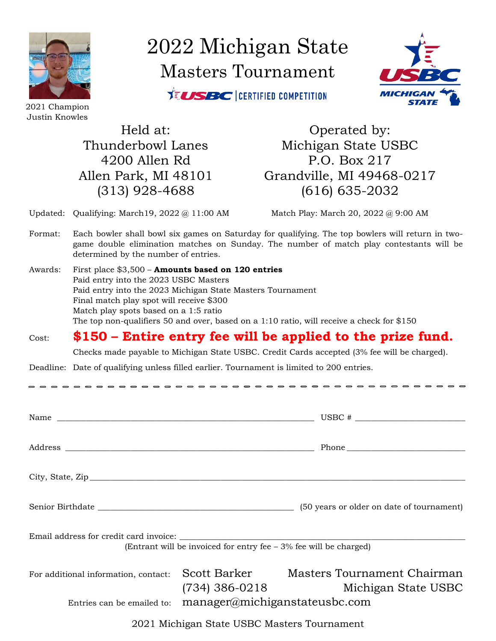

2022 Michigan State Masters Tournament

**XELISBC** CERTIFIED COMPETITION



2021 Champion Justin Knowles

Held at: 0 Operated by: Thunderbowl Lanes Michigan State USBC 4200 Allen Rd P.O. Box 217 Allen Park, MI 48101 Grandville, MI 49468-0217 (313) 928-4688 (616) 635-2032

Updated: Qualifying: March19, 2022 @ 11:00 AM Match Play: March 20, 2022 @ 9:00 AM

- Format: Each bowler shall bowl six games on Saturday for qualifying. The top bowlers will return in twogame double elimination matches on Sunday. The number of match play contestants will be determined by the number of entries.
- Awards: First place \$3,500 **Amounts based on 120 entries** Paid entry into the 2023 USBC Masters Paid entry into the 2023 Michigan State Masters Tournament Final match play spot will receive \$300 Match play spots based on a 1:5 ratio The top non-qualifiers 50 and over, based on a 1:10 ratio, will receive a check for \$150

## Cost: **\$150 – Entire entry fee will be applied to the prize fund.**

Checks made payable to Michigan State USBC. Credit Cards accepted (3% fee will be charged).

Deadline: Date of qualifying unless filled earlier. Tournament is limited to 200 entries.

 $\frac{1}{2}$ 

| Name $\overline{\phantom{a}}$                                                                                 |                                  |                                                    |  |
|---------------------------------------------------------------------------------------------------------------|----------------------------------|----------------------------------------------------|--|
|                                                                                                               |                                  |                                                    |  |
| City, State, $\mathbb{Z}ip$                                                                                   |                                  |                                                    |  |
|                                                                                                               |                                  | (50 years or older on date of tournament)          |  |
| Email address for credit card invoice:<br>(Entrant will be invoiced for entry fee $-3\%$ fee will be charged) |                                  |                                                    |  |
| For additional information, contact:                                                                          | Scott Barker<br>(734) 386-0218   | Masters Tournament Chairman<br>Michigan State USBC |  |
| Entries can be emailed to:                                                                                    | $m$ anager@michiganstateusbc.com |                                                    |  |

2021 Michigan State USBC Masters Tournament